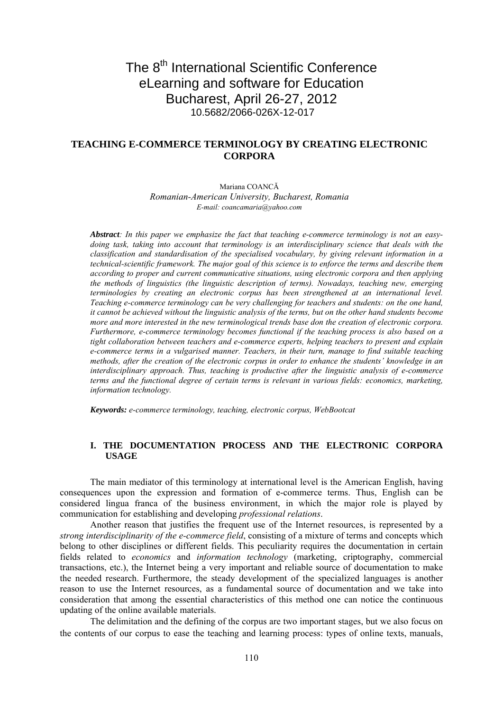# The 8<sup>th</sup> International Scientific Conference eLearning and software for Education Bucharest, April 26-27, 2012 10.5682/2066-026X-12-017

## **TEACHING E-COMMERCE TERMINOLOGY BY CREATING ELECTRONIC CORPORA**

Mariana COANCĂ *Romanian-American University, Bucharest, Romania E-mail: coancamaria@yahoo.com* 

*Abstract: In this paper we emphasize the fact that teaching e-commerce terminology is not an easydoing task, taking into account that terminology is an interdisciplinary science that deals with the classification and standardisation of the specialised vocabulary, by giving relevant information in a technical-scientific framework. The major goal of this science is to enforce the terms and describe them according to proper and current communicative situations, using electronic corpora and then applying the methods of linguistics (the linguistic description of terms). Nowadays, teaching new, emerging terminologies by creating an electronic corpus has been strengthened at an international level. Teaching e-commerce terminology can be very challenging for teachers and students: on the one hand, it cannot be achieved without the linguistic analysis of the terms, but on the other hand students become more and more interested in the new terminological trends base don the creation of electronic corpora. Furthermore, e-commerce terminology becomes functional if the teaching process is also based on a tight collaboration between teachers and e-commerce experts, helping teachers to present and explain e-commerce terms in a vulgarised manner. Teachers, in their turn, manage to find suitable teaching methods, after the creation of the electronic corpus in order to enhance the students' knowledge in an interdisciplinary approach. Thus, teaching is productive after the linguistic analysis of e-commerce terms and the functional degree of certain terms is relevant in various fields: economics, marketing, information technology.* 

*Keywords: e-commerce terminology, teaching, electronic corpus, WebBootcat* 

#### **I. THE DOCUMENTATION PROCESS AND THE ELECTRONIC CORPORA USAGE**

The main mediator of this terminology at international level is the American English, having consequences upon the expression and formation of e-commerce terms. Thus, English can be considered lingua franca of the business environment, in which the major role is played by communication for establishing and developing *professional relations*.

Another reason that justifies the frequent use of the Internet resources, is represented by a *strong interdisciplinarity of the e-commerce field*, consisting of a mixture of terms and concepts which belong to other disciplines or different fields. This peculiarity requires the documentation in certain fields related to *economics* and *information technology* (marketing, criptography, commercial transactions, etc.), the Internet being a very important and reliable source of documentation to make the needed research. Furthermore, the steady development of the specialized languages is another reason to use the Internet resources, as a fundamental source of documentation and we take into consideration that among the essential characteristics of this method one can notice the continuous updating of the online available materials.

The delimitation and the defining of the corpus are two important stages, but we also focus on the contents of our corpus to ease the teaching and learning process: types of online texts, manuals,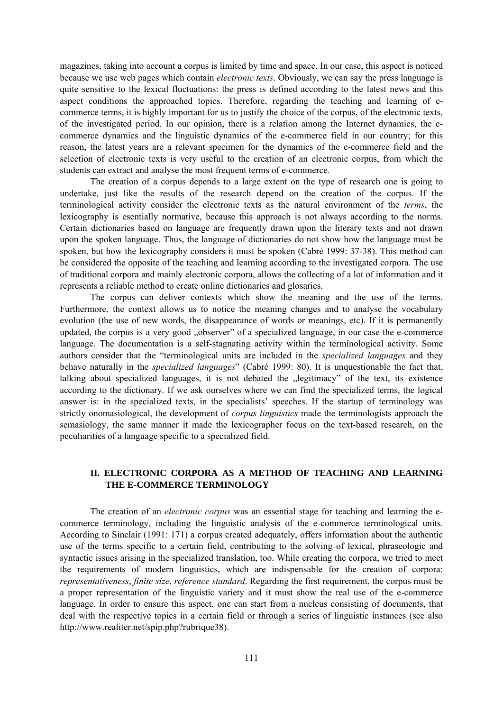magazines, taking into account a corpus is limited by time and space. In our case, this aspect is noticed because we use web pages which contain *electronic texts*. Obviously, we can say the press language is quite sensitive to the lexical fluctuations: the press is defined according to the latest news and this aspect conditions the approached topics. Therefore, regarding the teaching and learning of ecommerce terms, it is highly important for us to justify the choice of the corpus, of the electronic texts, of the investigated period. In our opinion, there is a relation among the Internet dynamics, the ecommerce dynamics and the linguistic dynamics of the e-commerce field in our country; for this reason, the latest years are a relevant specimen for the dynamics of the e-commerce field and the selection of electronic texts is very useful to the creation of an electronic corpus, from which the students can extract and analyse the most frequent terms of e-commerce.

The creation of a corpus depends to a large extent on the type of research one is going to undertake, just like the results of the research depend on the creation of the corpus. If the terminological activity consider the electronic texts as the natural environment of the *terms*, the lexicography is esentially normative, because this approach is not always according to the norms. Certain dictionaries based on language are frequently drawn upon the literary texts and not drawn upon the spoken language. Thus, the language of dictionaries do not show how the language must be spoken, but how the lexicography considers it must be spoken (Cabré 1999: 37-38). This method can be considered the opposite of the teaching and learning according to the investigated corpora. The use of traditional corpora and mainly electronic corpora, allows the collecting of a lot of information and it represents a reliable method to create online dictionaries and glosaries.

The corpus can deliver contexts which show the meaning and the use of the terms. Furthermore, the context allows us to notice the meaning changes and to analyse the vocabulary evolution (the use of new words, the disappearance of words or meanings, etc). If it is permanently updated, the corpus is a very good "observer" of a specialized language, in our case the e-commerce language. The documentation is a self-stagnating activity within the terminological activity. Some authors consider that the "terminological units are included in the *specialized languages* and they behave naturally in the *specialized languages*" (Cabré 1999: 80). It is unquestionable the fact that, talking about specialized languages, it is not debated the "legitimacy" of the text, its existence according to the dictionary. If we ask ourselves where we can find the specialized terms, the logical answer is: in the specialized texts, in the specialists' speeches. If the startup of terminology was strictly onomasiological, the development of *corpus linguistics* made the terminologists approach the semasiology, the same manner it made the lexicographer focus on the text-based research, on the peculiarities of a language specific to a specialized field.

### **II. ELECTRONIC CORPORA AS A METHOD OF TEACHING AND LEARNING THE E-COMMERCE TERMINOLOGY**

The creation of an *electronic corpus* was an essential stage for teaching and learning the ecommerce terminology, including the linguistic analysis of the e-commerce terminological units. According to Sinclair (1991: 171) a corpus created adequately, offers information about the authentic use of the terms specific to a certain field, contributing to the solving of lexical, phraseologic and syntactic issues arising in the specialized translation, too. While creating the corpora, we tried to meet the requirements of modern linguistics, which are indispensable for the creation of corpora: *representativeness*, *finite size*, *reference standard*. Regarding the first requirement, the corpus must be a proper representation of the linguistic variety and it must show the real use of the e-commerce language. In order to ensure this aspect, one can start from a nucleus consisting of documents, that deal with the respective topics in a certain field or through a series of linguistic instances (see also http://www.realiter.net/spip.php?rubrique38).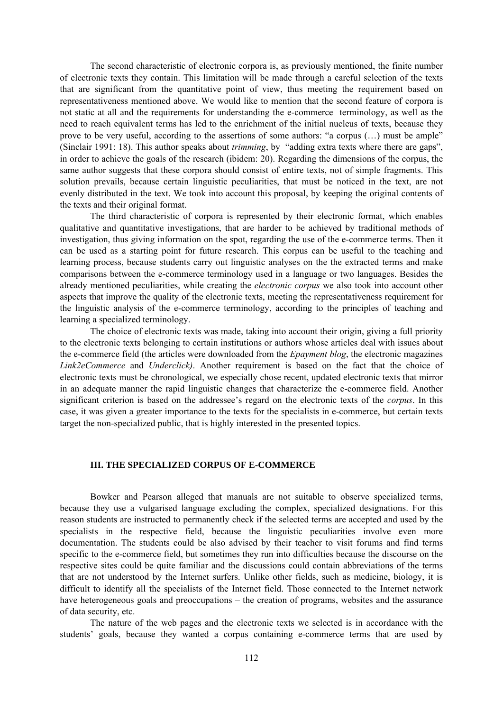The second characteristic of electronic corpora is, as previously mentioned, the finite number of electronic texts they contain. This limitation will be made through a careful selection of the texts that are significant from the quantitative point of view, thus meeting the requirement based on representativeness mentioned above. We would like to mention that the second feature of corpora is not static at all and the requirements for understanding the e-commerce terminology, as well as the need to reach equivalent terms has led to the enrichment of the initial nucleus of texts, because they prove to be very useful, according to the assertions of some authors: "a corpus (…) must be ample" (Sinclair 1991: 18). This author speaks about *trimming*, by "adding extra texts where there are gaps", in order to achieve the goals of the research (ibidem: 20). Regarding the dimensions of the corpus, the same author suggests that these corpora should consist of entire texts, not of simple fragments. This solution prevails, because certain linguistic peculiarities, that must be noticed in the text, are not evenly distributed in the text. We took into account this proposal, by keeping the original contents of the texts and their original format.

The third characteristic of corpora is represented by their electronic format, which enables qualitative and quantitative investigations, that are harder to be achieved by traditional methods of investigation, thus giving information on the spot, regarding the use of the e-commerce terms. Then it can be used as a starting point for future research. This corpus can be useful to the teaching and learning process, because students carry out linguistic analyses on the the extracted terms and make comparisons between the e-commerce terminology used in a language or two languages. Besides the already mentioned peculiarities, while creating the *electronic corpus* we also took into account other aspects that improve the quality of the electronic texts, meeting the representativeness requirement for the linguistic analysis of the e-commerce terminology, according to the principles of teaching and learning a specialized terminology.

The choice of electronic texts was made, taking into account their origin, giving a full priority to the electronic texts belonging to certain institutions or authors whose articles deal with issues about the e-commerce field (the articles were downloaded from the *Epayment blog*, the electronic magazines *Link2eCommerce* and *Underclick)*. Another requirement is based on the fact that the choice of electronic texts must be chronological, we especially chose recent, updated electronic texts that mirror in an adequate manner the rapid linguistic changes that characterize the e-commerce field. Another significant criterion is based on the addressee's regard on the electronic texts of the *corpus*. In this case, it was given a greater importance to the texts for the specialists in e-commerce, but certain texts target the non-specialized public, that is highly interested in the presented topics.

#### **III. THE SPECIALIZED CORPUS OF E-COMMERCE**

Bowker and Pearson alleged that manuals are not suitable to observe specialized terms, because they use a vulgarised language excluding the complex, specialized designations. For this reason students are instructed to permanently check if the selected terms are accepted and used by the specialists in the respective field, because the linguistic peculiarities involve even more documentation. The students could be also advised by their teacher to visit forums and find terms specific to the e-commerce field, but sometimes they run into difficulties because the discourse on the respective sites could be quite familiar and the discussions could contain abbreviations of the terms that are not understood by the Internet surfers. Unlike other fields, such as medicine, biology, it is difficult to identify all the specialists of the Internet field. Those connected to the Internet network have heterogeneous goals and preoccupations – the creation of programs, websites and the assurance of data security, etc.

The nature of the web pages and the electronic texts we selected is in accordance with the students' goals, because they wanted a corpus containing e-commerce terms that are used by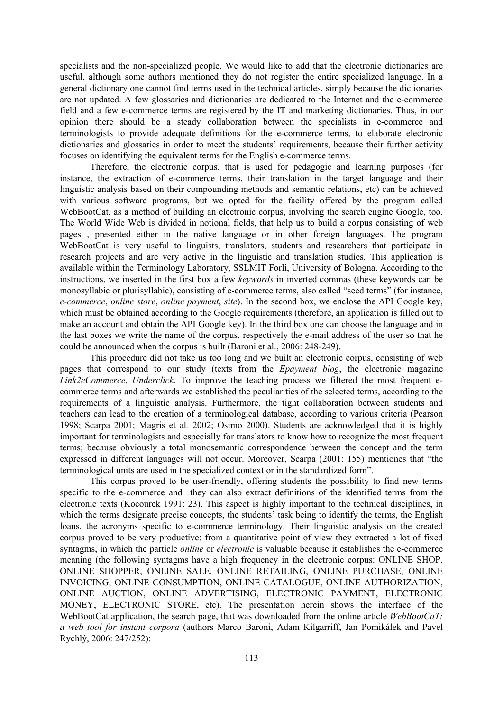specialists and the non-specialized people. We would like to add that the electronic dictionaries are useful, although some authors mentioned they do not register the entire specialized language. In a general dictionary one cannot find terms used in the technical articles, simply because the dictionaries are not updated. A few glossaries and dictionaries are dedicated to the Internet and the e-commerce field and a few e-commerce terms are registered by the IT and marketing dictionaries. Thus, in our opinion there should be a steady collaboration between the specialists in e-commerce and terminologists to provide adequate definitions for the e-commerce terms, to elaborate electronic dictionaries and glossaries in order to meet the students' requirements, because their further activity focuses on identifying the equivalent terms for the English e-commerce terms.

Therefore, the electronic corpus, that is used for pedagogic and learning purposes (for instance, the extraction of e-commerce terms, their translation in the target language and their linguistic analysis based on their compounding methods and semantic relations, etc) can be achieved with various software programs, but we opted for the facility offered by the program called WebBootCat, as a method of building an electronic corpus, involving the search engine Google, too. The World Wide Web is divided in notional fields, that help us to build a corpus consisting of web pages , presented either in the native language or in other foreign languages. The program WebBootCat is very useful to linguists, translators, students and researchers that participate in research projects and are very active in the linguistic and translation studies. This application is available within the Terminology Laboratory, SSLMIT Forli, University of Bologna. According to the instructions, we inserted in the first box a few *keywords* in inverted commas (these keywords can be monosyllabic or plurisyllabic), consisting of e-commerce terms, also called "seed terms" (for instance, *e-commerce*, *online store*, *online payment*, *site*). In the second box, we enclose the API Google key, which must be obtained according to the Google requirements (therefore, an application is filled out to make an account and obtain the API Google key). In the third box one can choose the language and in the last boxes we write the name of the corpus, respectively the e-mail address of the user so that he could be announced when the corpus is built (Baroni et al., 2006: 248-249).

This procedure did not take us too long and we built an electronic corpus, consisting of web pages that correspond to our study (texts from the *Epayment blog*, the electronic magazine *Link2eCommerce*, *Underclick*. To improve the teaching process we filtered the most frequent ecommerce terms and afterwards we established the peculiarities of the selected terms, according to the requirements of a linguistic analysis. Furthermore, the tight collaboration between students and teachers can lead to the creation of a terminological database, according to various criteria (Pearson 1998; Scarpa 2001; Magris et al*.* 2002; Osimo 2000). Students are acknowledged that it is highly important for terminologists and especially for translators to know how to recognize the most frequent terms; because obviously a total monosemantic correspondence between the concept and the term expressed in different languages will not occur. Moreover, Scarpa (2001: 155) mentiones that "the terminological units are used in the specialized context or in the standardized form".

This corpus proved to be user-friendly, offering students the possibility to find new terms specific to the e-commerce and they can also extract definitions of the identified terms from the electronic texts (Kocourek 1991: 23). This aspect is highly important to the technical disciplines, in which the terms designate precise concepts, the students' task being to identify the terms, the English loans, the acronyms specific to e-commerce terminology. Their linguistic analysis on the created corpus proved to be very productive: from a quantitative point of view they extracted a lot of fixed syntagms, in which the particle *online* or *electronic* is valuable because it establishes the e-commerce meaning (the following syntagms have a high frequency in the electronic corpus: ONLINE SHOP, ONLINE SHOPPER, ONLINE SALE, ONLINE RETAILING, ONLINE PURCHASE, ONLINE INVOICING, ONLINE CONSUMPTION, ONLINE CATALOGUE, ONLINE AUTHORIZATION, ONLINE AUCTION, ONLINE ADVERTISING, ELECTRONIC PAYMENT, ELECTRONIC MONEY, ELECTRONIC STORE, etc). The presentation herein shows the interface of the WebBootCat application, the search page, that was downloaded from the online article *WebBootCaT: a web tool for instant corpora* (authors Marco Baroni, Adam Kilgarriff, Jan Pomikálek and Pavel Rychlý, 2006: 247/252):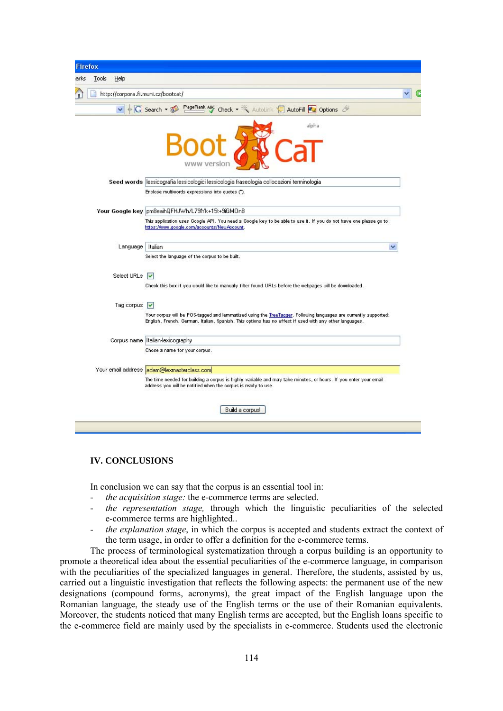| <b>Firefox</b>                     |                                                                                                                                                                                                                             |  |
|------------------------------------|-----------------------------------------------------------------------------------------------------------------------------------------------------------------------------------------------------------------------------|--|
| iarks<br>Tools<br>Help             |                                                                                                                                                                                                                             |  |
| http://corpora.fi.muni.cz/bootcat/ |                                                                                                                                                                                                                             |  |
|                                    | PageRank ABC<br>G Search v                                                                                                                                                                                                  |  |
|                                    | alpha                                                                                                                                                                                                                       |  |
|                                    | Seed words  lessicografia lessicologici lessicologia fraseologia collocazioni terminologia                                                                                                                                  |  |
|                                    | Enclose multiwords expressions into quotes (").                                                                                                                                                                             |  |
|                                    | Your Google key pm8eaihQFHJWh/L79fYk+15t+9iGMOnB                                                                                                                                                                            |  |
|                                    | This application uses Google API. You need a Google key to be able to use it. If you do not have one please go to<br>https://www.google.com/accounts/NewAccount.                                                            |  |
| Language                           | Italian<br>×                                                                                                                                                                                                                |  |
|                                    | Select the language of the corpus to be built.                                                                                                                                                                              |  |
| Select URLs V                      |                                                                                                                                                                                                                             |  |
|                                    | Check this box if you would like to manualy filter found URLs before the webpages will be downloaded                                                                                                                        |  |
| Tag corpus V                       |                                                                                                                                                                                                                             |  |
|                                    | Your corpus will be POS-tagged and lemmatised using the TreeTagger. Following languages are currently supported:<br>English, French, German, Italian, Spanish. This options has no effect if used with any other languages. |  |
|                                    | Corpus name   Italian-lexicography                                                                                                                                                                                          |  |
|                                    | Chose a name for your corpus.                                                                                                                                                                                               |  |
|                                    | Your email address adam@lexmasterclass.com                                                                                                                                                                                  |  |
|                                    | The time needed for building a corpus is highly variable and may take minutes, or hours. If you enter your email<br>address you will be notified when the corpus is ready to use.                                           |  |
|                                    | Build a corpus!                                                                                                                                                                                                             |  |

## **IV. CONCLUSIONS**

In conclusion we can say that the corpus is an essential tool in:

- the acquisition stage: the e-commerce terms are selected.
- the representation stage, through which the linguistic peculiarities of the selected e-commerce terms are highlighted..
- *the explanation stage*, in which the corpus is accepted and students extract the context of the term usage, in order to offer a definition for the e-commerce terms.

The process of terminological systematization through a corpus building is an opportunity to promote a theoretical idea about the essential peculiarities of the e-commerce language, in comparison with the peculiarities of the specialized languages in general. Therefore, the students, assisted by us, carried out a linguistic investigation that reflects the following aspects: the permanent use of the new designations (compound forms, acronyms), the great impact of the English language upon the Romanian language, the steady use of the English terms or the use of their Romanian equivalents. Moreover, the students noticed that many English terms are accepted, but the English loans specific to the e-commerce field are mainly used by the specialists in e-commerce. Students used the electronic